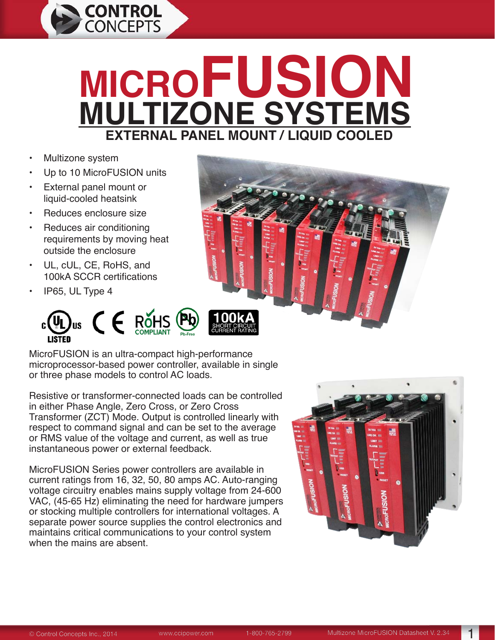

# **MICROFUSION MULTIZONE SYSTEMS EXTERNAL PANEL MOUNT / LIQUID COOLED**

- Multizone system
- Up to 10 MicroFUSION units
- External panel mount or liquid-cooled heatsink
- Reduces enclosure size
- Reduces air conditioning requirements by moving heat outside the enclosure
- UL, cUL, CE, RoHS, and 100kA SCCR certifications
- IP65, UL Type 4



MicroFUSION is an ultra-compact high-performance microprocessor-based power controller, available in single or three phase models to control AC loads.

Resistive or transformer-connected loads can be controlled in either Phase Angle, Zero Cross, or Zero Cross Transformer (ZCT) Mode. Output is controlled linearly with respect to command signal and can be set to the average or RMS value of the voltage and current, as well as true instantaneous power or external feedback.

MicroFUSION Series power controllers are available in current ratings from 16, 32, 50, 80 amps AC. Auto-ranging voltage circuitry enables mains supply voltage from 24-600 VAC, (45-65 Hz) eliminating the need for hardware jumpers or stocking multiple controllers for international voltages. A separate power source supplies the control electronics and maintains critical communications to your control system when the mains are absent.

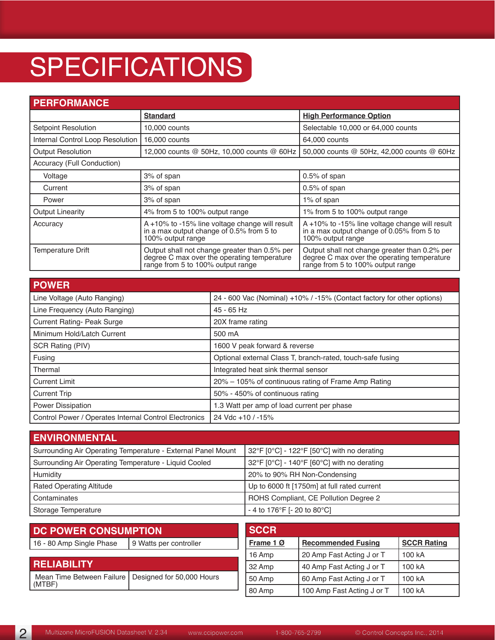# **SPECIFICATIONS**

| <b>PERFORMANCE</b>               |                                                                                                                                   |                                                                                                                                   |
|----------------------------------|-----------------------------------------------------------------------------------------------------------------------------------|-----------------------------------------------------------------------------------------------------------------------------------|
|                                  | <b>Standard</b>                                                                                                                   | <b>High Performance Option</b>                                                                                                    |
| <b>Setpoint Resolution</b>       | 10,000 counts                                                                                                                     | Selectable 10,000 or 64,000 counts                                                                                                |
| Internal Control Loop Resolution | 16,000 counts                                                                                                                     | 64,000 counts                                                                                                                     |
| <b>Output Resolution</b>         | 12,000 counts @ 50Hz, 10,000 counts @ 60Hz                                                                                        | 50,000 counts @ 50Hz, 42,000 counts @ 60Hz                                                                                        |
| Accuracy (Full Conduction)       |                                                                                                                                   |                                                                                                                                   |
| Voltage                          | 3% of span                                                                                                                        | 0.5% of span                                                                                                                      |
| Current                          | 3% of span                                                                                                                        | $0.5\%$ of span                                                                                                                   |
| Power                            | 3% of span                                                                                                                        | 1% of span                                                                                                                        |
| <b>Output Linearity</b>          | 4% from 5 to 100% output range                                                                                                    | 1% from 5 to 100% output range                                                                                                    |
| Accuracy                         | A +10% to -15% line voltage change will result<br>in a max output change of 0.5% from 5 to<br>100% output range                   | A +10% to -15% line voltage change will result<br>in a max output change of 0.05% from 5 to<br>100% output range                  |
| Temperature Drift                | Output shall not change greater than 0.5% per<br>degree C max over the operating temperature<br>range from 5 to 100% output range | Output shall not change greater than 0.2% per<br>degree C max over the operating temperature<br>range from 5 to 100% output range |

| <b>POWER</b>                                          |                                                                        |
|-------------------------------------------------------|------------------------------------------------------------------------|
| Line Voltage (Auto Ranging)                           | 24 - 600 Vac (Nominal) +10% / -15% (Contact factory for other options) |
| Line Frequency (Auto Ranging)                         | 45 - 65 Hz                                                             |
| <b>Current Rating- Peak Surge</b>                     | 20X frame rating                                                       |
| Minimum Hold/Latch Current                            | 500 mA                                                                 |
| SCR Rating (PIV)                                      | 1600 V peak forward & reverse                                          |
| Fusing                                                | Optional external Class T, branch-rated, touch-safe fusing             |
| Thermal                                               | Integrated heat sink thermal sensor                                    |
| <b>Current Limit</b>                                  | 20% - 105% of continuous rating of Frame Amp Rating                    |
| <b>Current Trip</b>                                   | 50% - 450% of continuous rating                                        |
| <b>Power Dissipation</b>                              | 1.3 Watt per amp of load current per phase                             |
| Control Power / Operates Internal Control Electronics | 24 Vdc +10 / -15%                                                      |

| <b>ENVIRONMENTAL</b>                                         |                                             |
|--------------------------------------------------------------|---------------------------------------------|
| Surrounding Air Operating Temperature - External Panel Mount | 32°F [0°C] - 122°F [50°C] with no derating  |
| Surrounding Air Operating Temperature - Liquid Cooled        | 32°F [0°C] - 140°F [60°C] with no derating  |
| Humidity                                                     | 20% to 90% RH Non-Condensing                |
| <b>Rated Operating Altitude</b>                              | Up to 6000 ft [1750m] at full rated current |
| Contaminates                                                 | ROHS Compliant, CE Pollution Degree 2       |
| Storage Temperature                                          | - 4 to 176°F [- 20 to 80°C]                 |

| <b>DC POWER CONSUMPTION</b>                                     |  | <b>SCCR</b> |                            |                    |  |  |  |
|-----------------------------------------------------------------|--|-------------|----------------------------|--------------------|--|--|--|
| 16 - 80 Amp Single Phase<br>9 Watts per controller              |  | Frame 10    | <b>Recommended Fusing</b>  | <b>SCCR Rating</b> |  |  |  |
|                                                                 |  | 16 Amp      | 100 kA                     |                    |  |  |  |
| <b>RELIABILITY</b>                                              |  | 32 Amp      | 40 Amp Fast Acting J or T  | 100 kA             |  |  |  |
| Mean Time Between Failure   Designed for 50,000 Hours<br>(MTBF) |  | 50 Amp      | 60 Amp Fast Acting J or T  | 100 kA             |  |  |  |
|                                                                 |  | 80 Amp      | 100 Amp Fast Acting J or T | 100 kA             |  |  |  |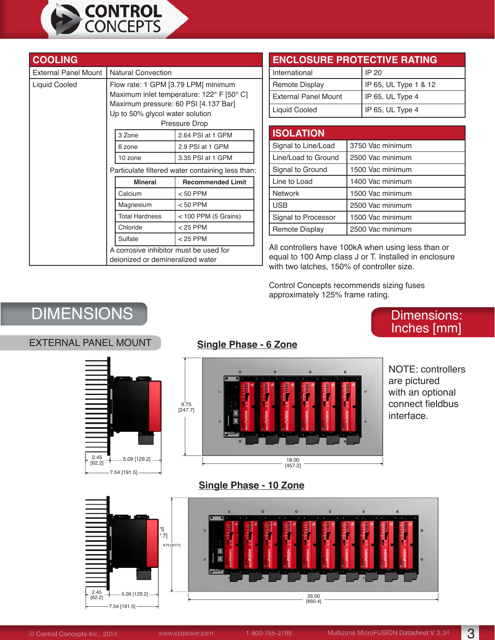

| <b>COOLING</b>              |                                                                                                                                                                              |                                                  |  |  |  |  |  |
|-----------------------------|------------------------------------------------------------------------------------------------------------------------------------------------------------------------------|--------------------------------------------------|--|--|--|--|--|
| <b>External Panel Mount</b> | <b>Natural Convection</b>                                                                                                                                                    |                                                  |  |  |  |  |  |
| Liquid Cooled               | Flow rate: 1 GPM [3.79 LPM] minimum<br>Maximum inlet temperature: 122° F [50° C]<br>Maximum pressure: 60 PSI [4.137 Bar]<br>Up to 50% glycol water solution<br>Pressure Drop |                                                  |  |  |  |  |  |
|                             | 3 Zone<br>2.64 PSI at 1 GPM                                                                                                                                                  |                                                  |  |  |  |  |  |
|                             | 2.9 PSI at 1 GPM<br>6 zone                                                                                                                                                   |                                                  |  |  |  |  |  |
|                             | 3.35 PSI at 1 GPM<br>10 zone                                                                                                                                                 |                                                  |  |  |  |  |  |
|                             |                                                                                                                                                                              | Particulate filtered water containing less than: |  |  |  |  |  |
|                             | <b>Mineral</b>                                                                                                                                                               | <b>Recommended Limit</b>                         |  |  |  |  |  |
|                             | Calcium                                                                                                                                                                      | $< 50$ PPM                                       |  |  |  |  |  |
|                             | Magnesium                                                                                                                                                                    | $< 50$ PPM                                       |  |  |  |  |  |
|                             | <b>Total Hardness</b>                                                                                                                                                        | $<$ 100 PPM (5 Grains)                           |  |  |  |  |  |
|                             | Chloride<br>$<$ 25 PPM                                                                                                                                                       |                                                  |  |  |  |  |  |
|                             | $<$ 25 PPM<br>Sulfate                                                                                                                                                        |                                                  |  |  |  |  |  |
|                             | A corrosive inhibitor must be used for<br>deionized or demineralized water                                                                                                   |                                                  |  |  |  |  |  |

### **ENCLOSURE PROTECTIVE RATING**

| International        | l IP 20                  |
|----------------------|--------------------------|
| Remote Display       | IP 65, UL Type 1 & 12    |
| External Panel Mount | $\vert$ IP 65, UL Type 4 |
| Liquid Cooled        | IP 65, UL Type 4         |

| <b>ISOLATION</b>      |                  |
|-----------------------|------------------|
| Signal to Line/Load   | 3750 Vac minimum |
| Line/Load to Ground   | 2500 Vac minimum |
| Signal to Ground      | 1500 Vac minimum |
| Line to Load          | 1400 Vac minimum |
| <b>Network</b>        | 1500 Vac minimum |
| <b>USB</b>            | 2500 Vac minimum |
| Signal to Processor   | 1500 Vac minimum |
| <b>Remote Display</b> | 2500 Vac minimum |

All controllers have 100kA when using less than or equal to 100 Amp class J or T. Installed in enclosure with two latches, 150% of controller size.

Control Concepts recommends sizing fuses approximately 125% frame rating.

# DIMENSIONS NET ANNO 1999 EN ANN ANN ANN AN DIMENSIONS:

#### EXTERNAL PANEL MOUNT **Single Phase - 6 Zone**





NOTE: controllers are pictured with an optional connect fieldbus interface.

Inches [mm]

#### **Single Phase - 10 Zone**

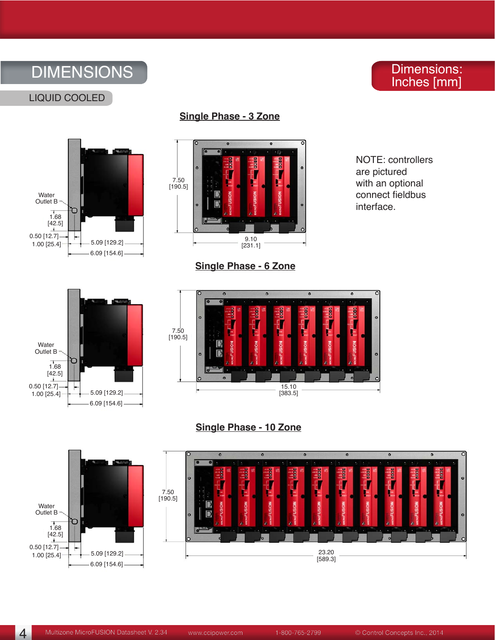# DIMENSIONS

### Dimensions: Inches [mm]









**Single Phase - 6 Zone**

NOTE: controllers are pictured with an optional connect fieldbus interface.





**Single Phase - 10 Zone**



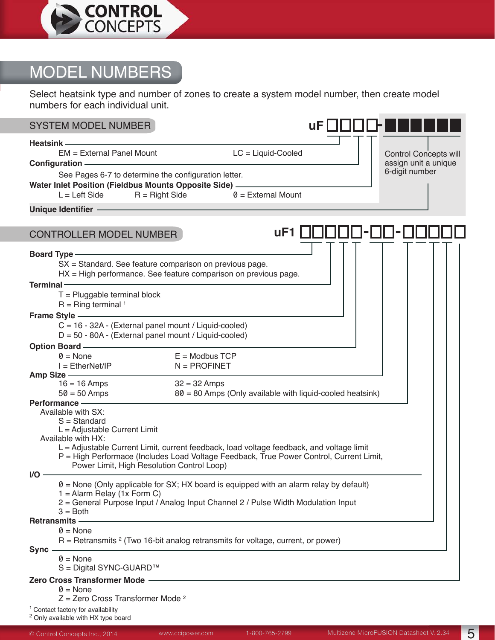

# MODEL NUMBERS

Select heatsink type and number of zones to create a system model number, then create model numbers for each individual unit.

| <b>SYSTEM MODEL NUMBER</b>                                                                                                                                                                                                                                                                |                                                                                                                                                                                     | uF I         |                                                      |
|-------------------------------------------------------------------------------------------------------------------------------------------------------------------------------------------------------------------------------------------------------------------------------------------|-------------------------------------------------------------------------------------------------------------------------------------------------------------------------------------|--------------|------------------------------------------------------|
|                                                                                                                                                                                                                                                                                           |                                                                                                                                                                                     |              |                                                      |
| Heatsink — <u>— — — — — — — — — — —</u><br>EM = External Panel Mount<br>Configuration — <u>Configuration</u>                                                                                                                                                                              | $LC =$ Liquid-Cooled                                                                                                                                                                |              | <b>Control Concepts will</b><br>assign unit a unique |
| See Pages 6-7 to determine the configuration letter.<br>Water Inlet Position (Fieldbus Mounts Opposite Side) - The Mater Inlet Position (Fieldbus Mounts Opposite Side)                                                                                                                   | $L = \text{Left Side}$ R = Right Side $\theta =$ External Mount                                                                                                                     |              | 6-digit number                                       |
| Unique Identifier <b>Constitution of the Constitution</b> of the Constitution of the Constitution of the Constitution                                                                                                                                                                     |                                                                                                                                                                                     |              |                                                      |
|                                                                                                                                                                                                                                                                                           |                                                                                                                                                                                     |              |                                                      |
| <b>CONTROLLER MODEL NUMBER</b>                                                                                                                                                                                                                                                            |                                                                                                                                                                                     | uF1 UUUUU-UU |                                                      |
| Board Type - Manual Communication of the Second Communication of the Second Communication of the Second Communication of the Second Communication of the Second Communication of the Second Communication of the Second Commun<br>SX = Standard. See feature comparison on previous page. | HX = High performance. See feature comparison on previous page.                                                                                                                     |              |                                                      |
| Terminal - Terminal - Terminal - Terminal - Terminal - Terminal - Terminal and Terminal and Terminal and Terminal and Terminal and Terminal and Terminal and Terminal and Terminal and Terminal and Terminal and Terminal and<br>$T =$ Pluggable terminal block<br>$R =$ Ring terminal 1  |                                                                                                                                                                                     |              |                                                      |
| Frame Style —————                                                                                                                                                                                                                                                                         |                                                                                                                                                                                     |              |                                                      |
| C = 16 - 32A - (External panel mount / Liquid-cooled)<br>$D = 50 - 80A -$ (External panel mount / Liquid-cooled)                                                                                                                                                                          |                                                                                                                                                                                     |              |                                                      |
| Option Board ——————<br>$0 = \text{None}$                                                                                                                                                                                                                                                  | $E =$ Modbus TCP                                                                                                                                                                    |              |                                                      |
|                                                                                                                                                                                                                                                                                           | $N = PROFINET$                                                                                                                                                                      |              |                                                      |
|                                                                                                                                                                                                                                                                                           |                                                                                                                                                                                     |              |                                                      |
| $16 = 16$ Amps<br>$50 = 50$ Amps                                                                                                                                                                                                                                                          | $32 = 32$ Amps<br>80 = 80 Amps (Only available with liquid-cooled heatsink)                                                                                                         |              |                                                      |
| Performance - The Contract of Terms and Terms and Terms and Terms and Terms and Terms and Terms and Terms and                                                                                                                                                                             |                                                                                                                                                                                     |              |                                                      |
| Available with SX:                                                                                                                                                                                                                                                                        |                                                                                                                                                                                     |              |                                                      |
| $S = Standard$<br>$L =$ Adjustable Current Limit                                                                                                                                                                                                                                          |                                                                                                                                                                                     |              |                                                      |
| Available with HX:                                                                                                                                                                                                                                                                        |                                                                                                                                                                                     |              |                                                      |
| Power Limit, High Resolution Control Loop)                                                                                                                                                                                                                                                | L = Adjustable Current Limit, current feedback, load voltage feedback, and voltage limit<br>P = High Performace (Includes Load Voltage Feedback, True Power Control, Current Limit, |              |                                                      |
| VO -                                                                                                                                                                                                                                                                                      |                                                                                                                                                                                     |              |                                                      |
| $1 =$ Alarm Relay (1x Form C)<br>$3 = Both$                                                                                                                                                                                                                                               | $\theta$ = None (Only applicable for SX; HX board is equipped with an alarm relay by default)<br>2 = General Purpose Input / Analog Input Channel 2 / Pulse Width Modulation Input  |              |                                                      |
| <b>Retransmits -</b><br>$0 = \text{None}$                                                                                                                                                                                                                                                 |                                                                                                                                                                                     |              |                                                      |
| <b>Sync</b>                                                                                                                                                                                                                                                                               | $R =$ Retransmits $2$ (Two 16-bit analog retransmits for voltage, current, or power)                                                                                                |              |                                                      |
| $0 = \text{None}$<br>S = Digital SYNC-GUARD™                                                                                                                                                                                                                                              |                                                                                                                                                                                     |              |                                                      |
| Zero Cross Transformer Mode                                                                                                                                                                                                                                                               |                                                                                                                                                                                     |              |                                                      |
| $0 = \text{None}$<br>$Z =$ Zero Cross Transformer Mode <sup>2</sup>                                                                                                                                                                                                                       |                                                                                                                                                                                     |              |                                                      |

<sup>1</sup> Contact factory for availability

<sup>2</sup> Only available with HX type board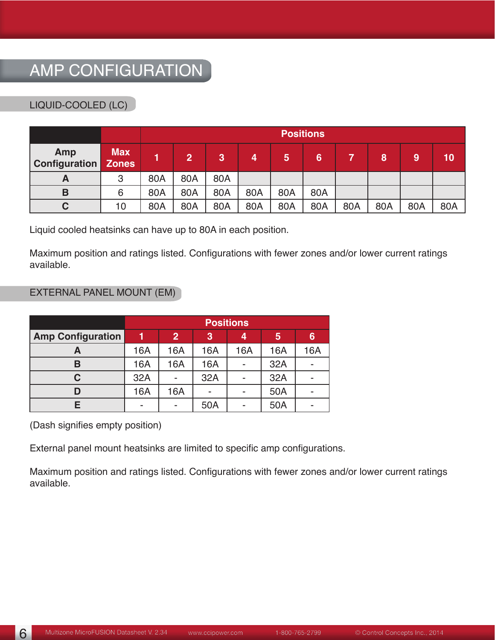# AMP CONFIGURATION

#### LIQUID-COOLED (LC)

|                      |                            |     | <b>Positions</b> |     |     |     |                |     |     |     |     |
|----------------------|----------------------------|-----|------------------|-----|-----|-----|----------------|-----|-----|-----|-----|
| Amp<br>Configuration | <b>Max</b><br><b>Zones</b> |     | $\overline{2}$   | 3   | 4   | 5   | $6\phantom{1}$ |     | 8   | 9   | 10  |
| A                    | 3                          | 80A | 80A              | 80A |     |     |                |     |     |     |     |
| B                    | 6                          | 80A | 80A              | 80A | 80A | 80A | 80A            |     |     |     |     |
| С                    | 10                         | 80A | 80A              | 80A | 80A | 80A | 80A            | 80A | 80A | 80A | 80A |

Liquid cooled heatsinks can have up to 80A in each position.

Maximum position and ratings listed. Configurations with fewer zones and/or lower current ratings available.

#### EXTERNAL PANEL MOUNT (EM)

|                          | <b>Positions</b> |     |     |     |     |     |  |  |  |
|--------------------------|------------------|-----|-----|-----|-----|-----|--|--|--|
| <b>Amp Configuration</b> |                  | 6   |     |     |     |     |  |  |  |
|                          | 16A              | 16A | 16A | 16A | 16A | 16A |  |  |  |
| в                        | 16A              | 16A | 16A |     | 32A |     |  |  |  |
| C                        | 32A              |     | 32A |     | 32A |     |  |  |  |
|                          | 16A              | 16A |     |     | 50A |     |  |  |  |
|                          |                  |     | 50A |     | 50A |     |  |  |  |

(Dash signifies empty position)

External panel mount heatsinks are limited to specific amp configurations.

Maximum position and ratings listed. Configurations with fewer zones and/or lower current ratings available.